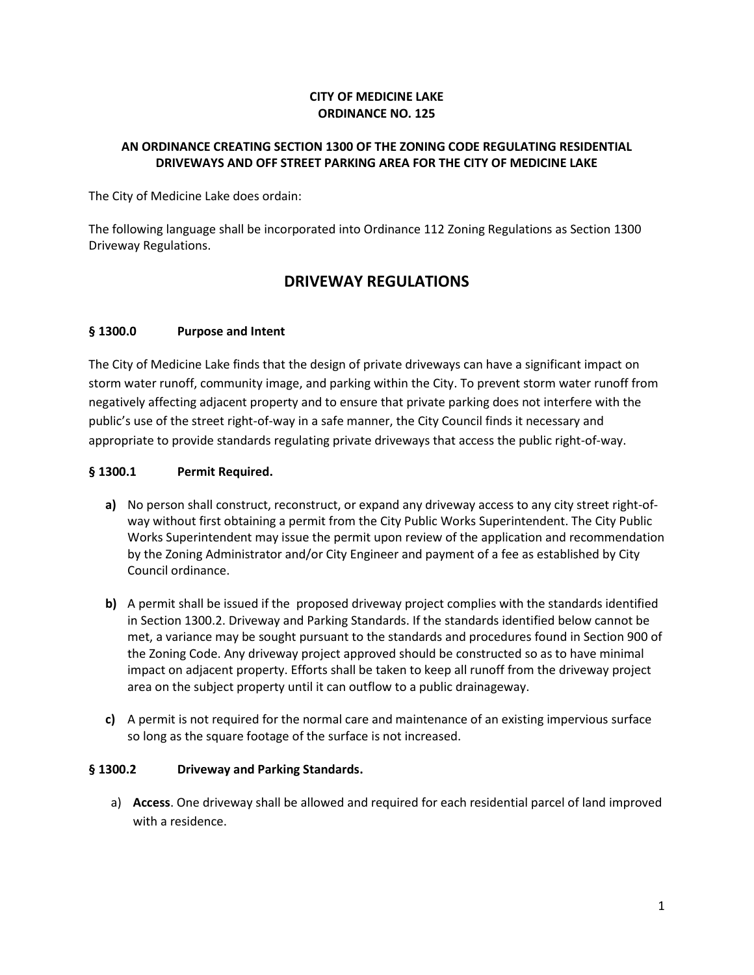#### **CITY OF MEDICINE LAKE ORDINANCE NO. 125**

#### **AN ORDINANCE CREATING SECTION 1300 OF THE ZONING CODE REGULATING RESIDENTIAL DRIVEWAYS AND OFF STREET PARKING AREA FOR THE CITY OF MEDICINE LAKE**

The City of Medicine Lake does ordain:

The following language shall be incorporated into Ordinance 112 Zoning Regulations as Section 1300 Driveway Regulations.

# **DRIVEWAY REGULATIONS**

#### **§ 1300.0 Purpose and Intent**

The City of Medicine Lake finds that the design of private driveways can have a significant impact on storm water runoff, community image, and parking within the City. To prevent storm water runoff from negatively affecting adjacent property and to ensure that private parking does not interfere with the public's use of the street right-of-way in a safe manner, the City Council finds it necessary and appropriate to provide standards regulating private driveways that access the public right-of-way.

#### **§ 1300.1 Permit Required.**

- **a)** No person shall construct, reconstruct, or expand any driveway access to any city street right-ofway without first obtaining a permit from the City Public Works Superintendent. The City Public Works Superintendent may issue the permit upon review of the application and recommendation by the Zoning Administrator and/or City Engineer and payment of a fee as established by City Council ordinance.
- **b)** A permit shall be issued if the proposed driveway project complies with the standards identified in Section 1300.2. Driveway and Parking Standards. If the standards identified below cannot be met, a variance may be sought pursuant to the standards and procedures found in Section 900 of the Zoning Code. Any driveway project approved should be constructed so as to have minimal impact on adjacent property. Efforts shall be taken to keep all runoff from the driveway project area on the subject property until it can outflow to a public drainageway.
- **c)** A permit is not required for the normal care and maintenance of an existing impervious surface so long as the square footage of the surface is not increased.

#### **§ 1300.2 Driveway and Parking Standards.**

a) **Access**. One driveway shall be allowed and required for each residential parcel of land improved with a residence.